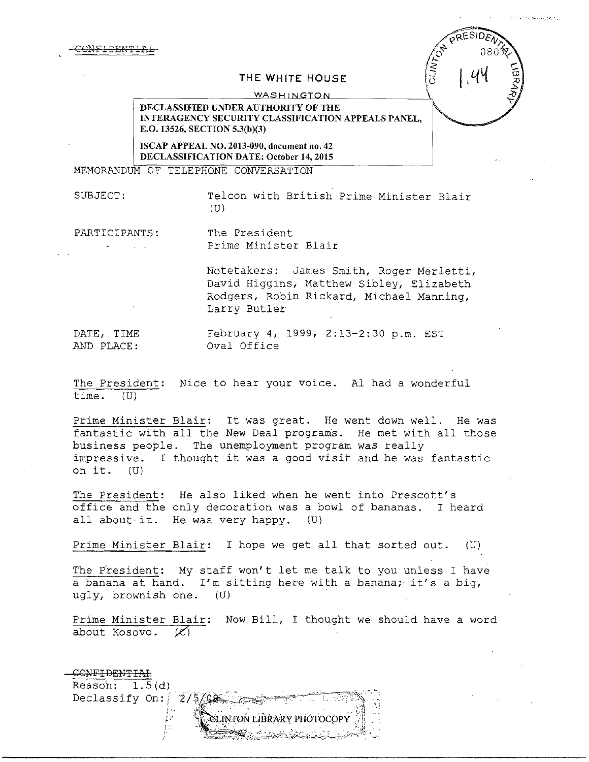CONFIDENTIAL



## **THE WHITE HOUSE**

**WASHINGTON** 

**DECLASSIFIED UNDER AUTHORITY OF THE INTERAGENCY SECURITY CLASSIFICATION APPEALS PANEL, E.O. 13526, SECTION 5.3(b)(3)** 

**ISCAP APPEAL NO. 2013-090, document no. 42 DECLASSIFICATION DATE; October 14, 2015** 

MEMORANDUM OF TELEPHONE CONVERSATION.

SUBJECT: Telcon with British Prime Minister Blair  $(U)$ 

PARTICIPANTS: The President Prime Minister Blair

> Notetakers: James Smith, Roger Merletti, David Higgins, Matthew Sibley, Elizabeth Rodgers, Robin Rickard, Michael Manning, Larry Butler

DATE, TIME AND PLACE:

February 4, 1999, 2:13-2:30 p.m. EST Oval Office

The President: Nice to hear your voice. Al had a wonderful time. (U)

Prime Minister Blair: It was great. He went down well. He was fantastic with all the New Deal programs. He met with all those business people. The unemployment program was really impressive. I thought it was a good visit and he was fantastic on it. (U)

The President: He also liked when he went into Prescott's office and the only decoration was a bowl of bananas. I heard all about it. He was very happy. (U)

Prime Minister Blair: I hope we get all that sorted out. (U)

The President: My staff won't let me talk to you unless I have a banana at hand. I'm sitting here with a banana; it's a big, ugly, brownish one. (U)

Prime Minister Blair: Now Bill, I thought we should have a word about Kosovo.  $\emptyset$ about Kosovo. *ii'\* 

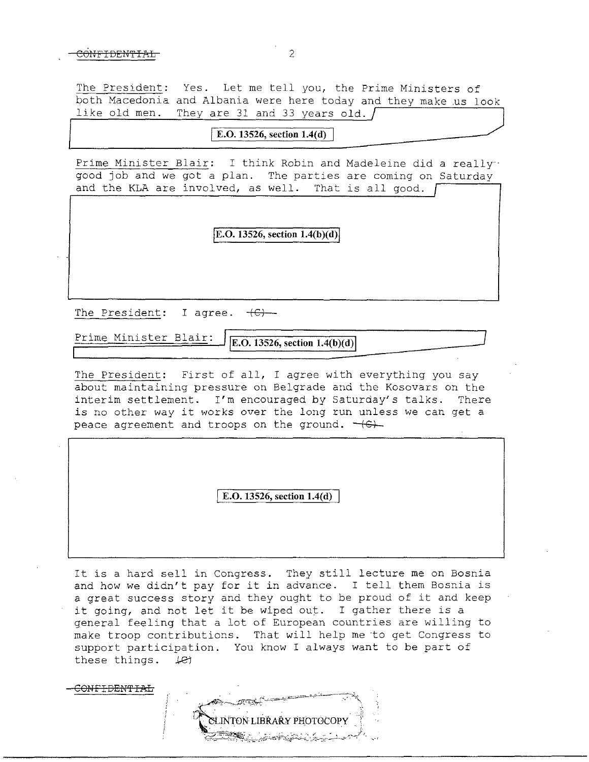#### $\overline{O}$ NFIDENTIAL 2

The President: Yes. Let me tell you, the Prime Ministers of both Macedonia and Albania were here today and they make us look<br>like old men. They are 31 and 33 years old. They are 31 and 33 years old.  $\int$ 

I **E.O. 13526, section l.4(d)** I

Prime Minister Blair: I think Robin and Madeleine did a really good job and we got a plan. The parties are coming on Saturday and the KLA are involved, as well. That is all good.

**E.O. 13526, section 1.4(b)(d)** 

The President: I agree.  $+C$ )

Prime Minister Blair: **jE.O. 13526, section 1.4(b)(d)j** 

The President: First of all, I agree with everything you say about maintaining pressure on Belgrade and the Kosovars on the interim settlement. I'm encouraged by Saturday's talks. There is no other way it works over the long run unless we can get a peace agreement and troops on the ground.  $+6+$ 

I **E.O. 13526, section l.4(d)** 

It is a hard sell in Congress. They still lecture me on Bosnia and how we didn't pay for it in advance. I tell them Bosnia is a great success story and they ought to be proud of it and keep it going, and not let it be wiped out. I gather there is a general feeling that a lot of European countries are willing to make troop contributions. That will help me to get Congress to support participation. You know I always want to be part of these things.  $\angle$ et

ON<del>FIDENTIAL</del>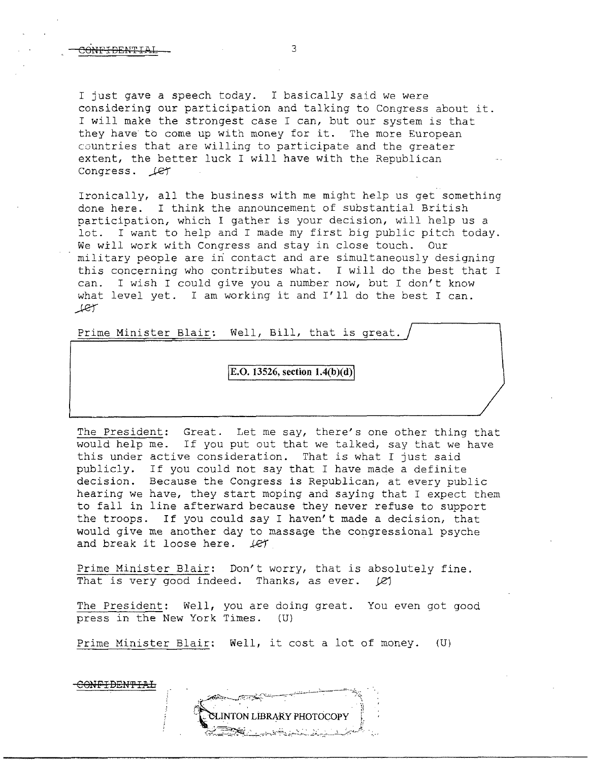I just gave a speech today. I basically said we were considering our participation and talking to Congress about it. I will make the strongest case I can, but our system is that they have to come up with money for it. The more European countries that are willing to participate and the greater extent, the better luck I will have with the Republican Congress.  $LT$ 

Ironically, all the business with me might help us get something done here. I think the announcement of substantial British participation, which I gather is your decision, will help us a lot. I want to help and I made my first big public pitch today. We will work with Congress and stay in close touch. Our military people are in contact and are simultaneously designing this concerning who contributes what. I will do the best that I can. I wish I could give you a number now, but I don't know I wish I could give you a number now, but I don't know what level yet. I am working it and I'll do the best I can. *\_)..81"* 

Prime Minister Blair: Well, Bill, that is great.

# lE.O. **13526, section l.4(b )(d)I**

The President: Great. Let me say, there's one other thing that would help me. If you put out that we talked, say that we have this under active consideration. That is what I just said publicly. If you could not say that I have made a definite decision. Because the Congress *is* Republican, at every public hearing we have, they start moping and saying that I expect them to fall in line afterward because they never refuse to support the troops. If you could say I haven't made a decision, that would give me another day to massage the congressional psyche and break it loose here. *Je1'* 

Prime Minister Blair: Don't worry, that is absolutely fine. That is very good indeed. Thanks, as ever.  $[2]$ 

The President: Well, you are doing great. You even got good press in the New York Times. (U)

Prime Minister Blair: Well, it cost a lot of money. (U)

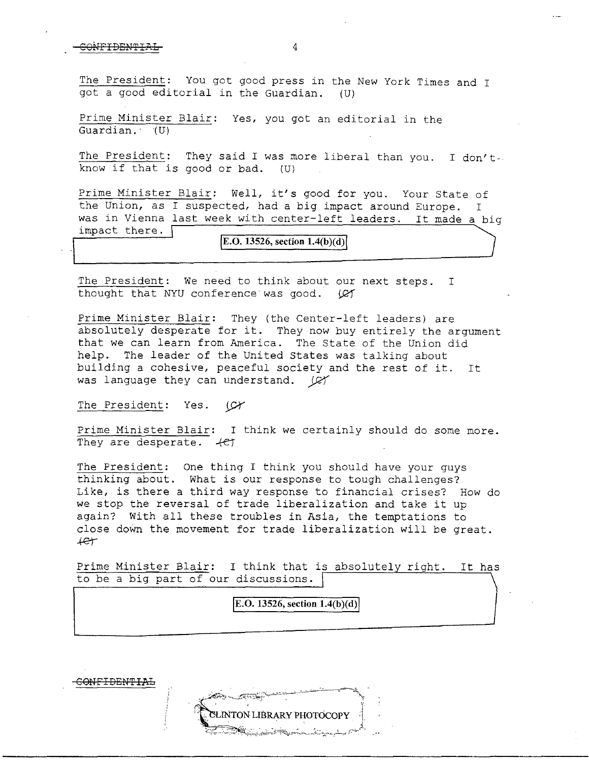## CONFIDENTIAL 4

The President: You got good press in the New York Times and I got a good editorial in the Guardian. (U)

Prime Minister Blair: Yes, you got an editorial in the Guardian. (U)

The President: They said I was more liberal than you. I don't. know if that is good or bad. (U)

Prime Minister Blair: Well, it's good for you. Your State of the Union, as I suspected, had a big impact around Europe. I was in Vienna last week with center-left leaders. It made a big impact there. [

# $|E.O. 13526$ , section  $1.4(b)(d)|$

The President: We need to think about our next steps. I thought that NYU conference was good. (C)

Prime Minister Blair: They (the Center-left leaders) are absolutely desperate for it. They now buy entirely the argument that we can learn from America. The State of the Union did help. The leader of the United States was talking about building a cohesive, peaceful society and the rest of it. It was language they can understand.  $\varnothing$ 

The President: Yes.  $(\mathcal{Y}$ 

Prime Minister Blair: I think we certainly should do some more. They are desperate.  $+e^+$ 

The President: One thing I think you should have your guys thinking about. What is our response to tough challenges? Like, is there a third way response to financial crises? How do we stop the reversal of trade liberalization and take it up again? With all these troubles in Asia, the temptations to close down the movement for trade liberalization will be great. +er

Prime Minister Blair: I think that is absolutely right. It has to be a big part of our discussions.

## **E.O. 13526, section**  $1.4(b)(d)$

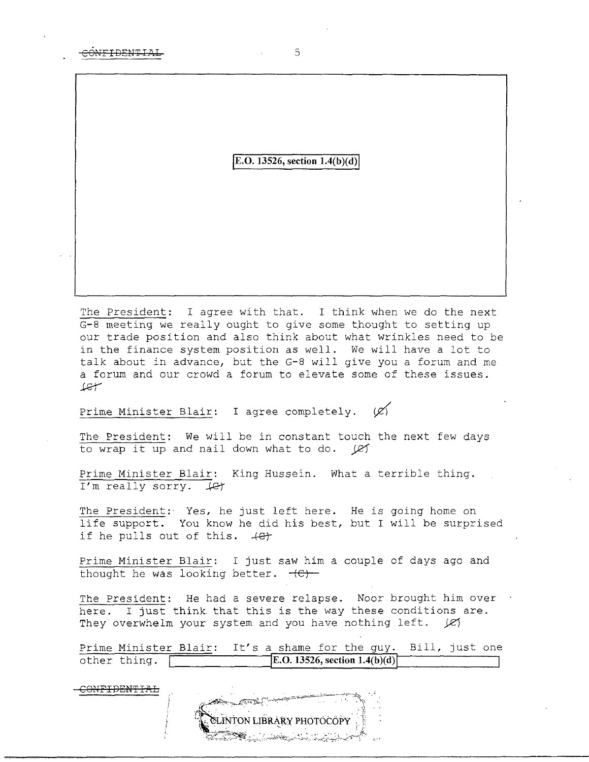CONFIDENTIAL 5

# $|E.O. 13526$ , section  $1.4(b)(d)$

The President: I agree with that. I think when we do the next G-8 meeting we really ought to give some thought to setting up our trade position and also think about what wrinkles need to be in the finance system position as well. We will have a lot to talk about in advance, but the G-8 will give you a forum and me a forum and our crowd a forum to elevate some of these issues. J..&r

Prime Minister Blair: I agree completely.  $\varnothing$ 

The President: We will be in constant touch the next few days to wrap it up and nail down what to do.  $\mathcal{L}$ 

Prime Minister Blair: King Hussein. What a terrible thing. I'm really sorry.  $\text{\textsterling}$ 

The President: Yes, he just left here. He is going home on life support. You know he did his best, but I will be surprised if he pulls out of this.  $+e^+$ 

Prime Minister Blair: I just saw him a couple of days ago and thought he was looking better.  $-(C)$ 

The President: He had a severe relapse. Noor brought him over here. I just think that this is the way these conditions are. They overwhelm your system and you have nothing left. *JZI* 

Prime Minister Blair: It's a shame for the guy. Bill, just one<br>other thing.  $\begin{array}{|l|} \hline \text{E.O. 13526, section 1.4(b)(d)} \hline \end{array}$ **E.O. 13526, section**  $1.4(b)(d)$ 

CONFIDENTIAL

 $\mathcal{L}=\mathcal{L}=\mathcal{L}=\mathcal{L}=\mathcal{L}=\mathcal{L}=\mathcal{L}=\mathcal{L}=\mathcal{L}=\mathcal{L}=\mathcal{L}=\mathcal{L}=\mathcal{L}=\mathcal{L}=\mathcal{L}=\mathcal{L}=\mathcal{L}=\mathcal{L}=\mathcal{L}=\mathcal{L}=\mathcal{L}=\mathcal{L}=\mathcal{L}=\mathcal{L}=\mathcal{L}=\mathcal{L}=\mathcal{L}=\mathcal{L}=\mathcal{L}=\mathcal{L}=\mathcal{L}=\mathcal{L}=\mathcal{L}=\mathcal{L}=\mathcal{L}=\mathcal{L}=\mathcal{$ ITON LIBRARY PHOTOCOPY -~"-~\~~~-:.:.,:,.....-\_ - " . . ----~; ~-"--.·.··.··c··-.··,· --·., '.---~--- ,; --,~~----~~., , \_\_ ,